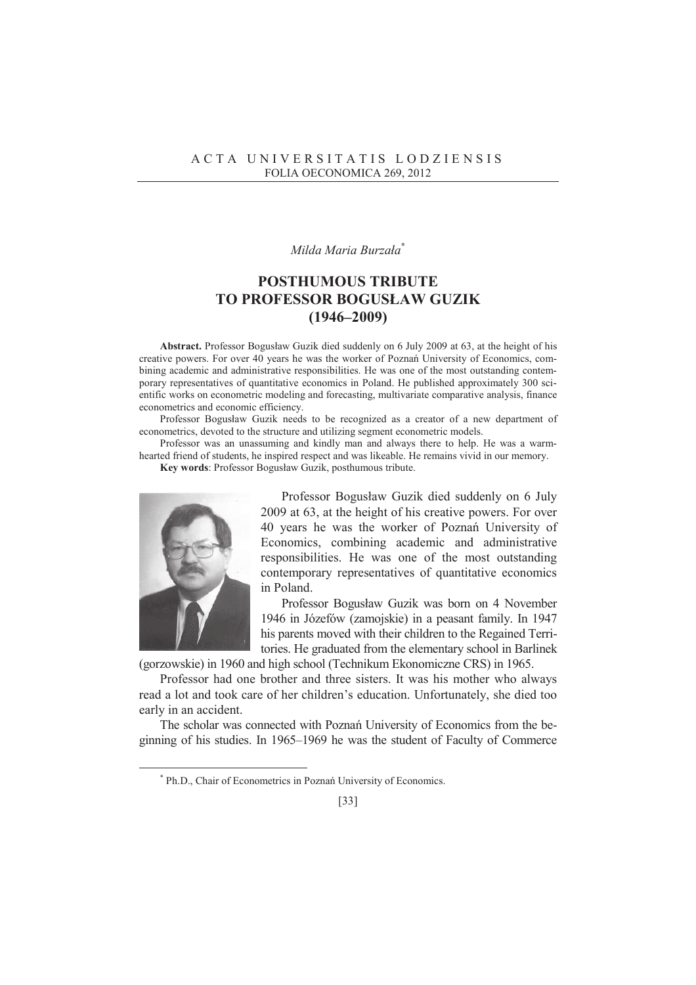## *Milda Maria Burzaáa* **\***

## **POSTHUMOUS TRIBUTE TO PROFESSOR BOGUSàAW GUZIK (1946–2009)**

**Abstract.** Professor Bogusáaw Guzik died suddenly on 6 July 2009 at 63, at the height of his creative powers. For over 40 years he was the worker of Poznań University of Economics, combining academic and administrative responsibilities. He was one of the most outstanding contemporary representatives of quantitative economics in Poland. He published approximately 300 scientific works on econometric modeling and forecasting, multivariate comparative analysis, finance econometrics and economic efficiency.

Professor Bogusław Guzik needs to be recognized as a creator of a new department of econometrics, devoted to the structure and utilizing segment econometric models.

Professor was an unassuming and kindly man and always there to help. He was a warmhearted friend of students, he inspired respect and was likeable. He remains vivid in our memory.

**Key words**: Professor Bogusáaw Guzik, posthumous tribute.



 $\overline{a}$ 

Professor Bogusáaw Guzik died suddenly on 6 July 2009 at 63, at the height of his creative powers. For over 40 years he was the worker of Poznań University of Economics, combining academic and administrative responsibilities. He was one of the most outstanding contemporary representatives of quantitative economics in Poland.

Professor Bogusáaw Guzik was born on 4 November 1946 in Józefów (zamojskie) in a peasant family. In 1947 his parents moved with their children to the Regained Territories. He graduated from the elementary school in Barlinek

(gorzowskie) in 1960 and high school (Technikum Ekonomiczne CRS) in 1965.

Professor had one brother and three sisters. It was his mother who always read a lot and took care of her children's education. Unfortunately, she died too early in an accident.

The scholar was connected with Poznań University of Economics from the beginning of his studies. In 1965–1969 he was the student of Faculty of Commerce

<sup>\*</sup> Ph.D., Chair of Econometrics in Poznań University of Economics.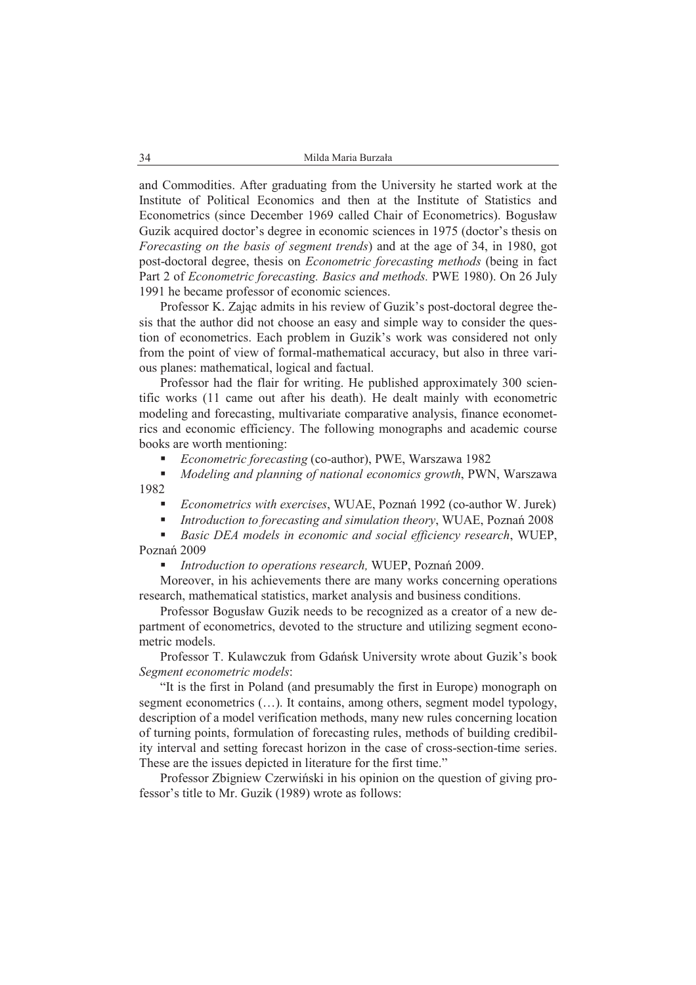and Commodities. After graduating from the University he started work at the Institute of Political Economics and then at the Institute of Statistics and Econometrics (since December 1969 called Chair of Econometrics). Bogusáaw Guzik acquired doctor's degree in economic sciences in 1975 (doctor's thesis on *Forecasting on the basis of segment trends*) and at the age of 34, in 1980, got post-doctoral degree, thesis on *Econometric forecasting methods* (being in fact Part 2 of *Econometric forecasting. Basics and methods.* PWE 1980). On 26 July 1991 he became professor of economic sciences.

Professor K. Zając admits in his review of Guzik's post-doctoral degree thesis that the author did not choose an easy and simple way to consider the question of econometrics. Each problem in Guzik's work was considered not only from the point of view of formal-mathematical accuracy, but also in three various planes: mathematical, logical and factual.

Professor had the flair for writing. He published approximately 300 scientific works (11 came out after his death). He dealt mainly with econometric modeling and forecasting, multivariate comparative analysis, finance econometrics and economic efficiency. The following monographs and academic course books are worth mentioning:

*Econometric forecasting* (co-author), PWE, Warszawa 1982

 *Modeling and planning of national economics growth*, PWN, Warszawa 1982

- *Econometrics with exercises, WUAE, Poznań 1992 (co-author W. Jurek)*
- *Introduction to forecasting and simulation theory, WUAE, Poznań 2008*

 *Basic DEA models in economic and social efficiency research*, WUEP, Poznań 2009

**Introduction to operations research, WUEP, Poznań 2009.** 

Moreover, in his achievements there are many works concerning operations research, mathematical statistics, market analysis and business conditions.

Professor Bogusáaw Guzik needs to be recognized as a creator of a new department of econometrics, devoted to the structure and utilizing segment econometric models.

Professor T. Kulawczuk from Gdańsk University wrote about Guzik's book *Segment econometric models*:

"It is the first in Poland (and presumably the first in Europe) monograph on segment econometrics (…). It contains, among others, segment model typology, description of a model verification methods, many new rules concerning location of turning points, formulation of forecasting rules, methods of building credibility interval and setting forecast horizon in the case of cross-section-time series. These are the issues depicted in literature for the first time."

Professor Zbigniew Czerwiński in his opinion on the question of giving professor's title to Mr. Guzik (1989) wrote as follows: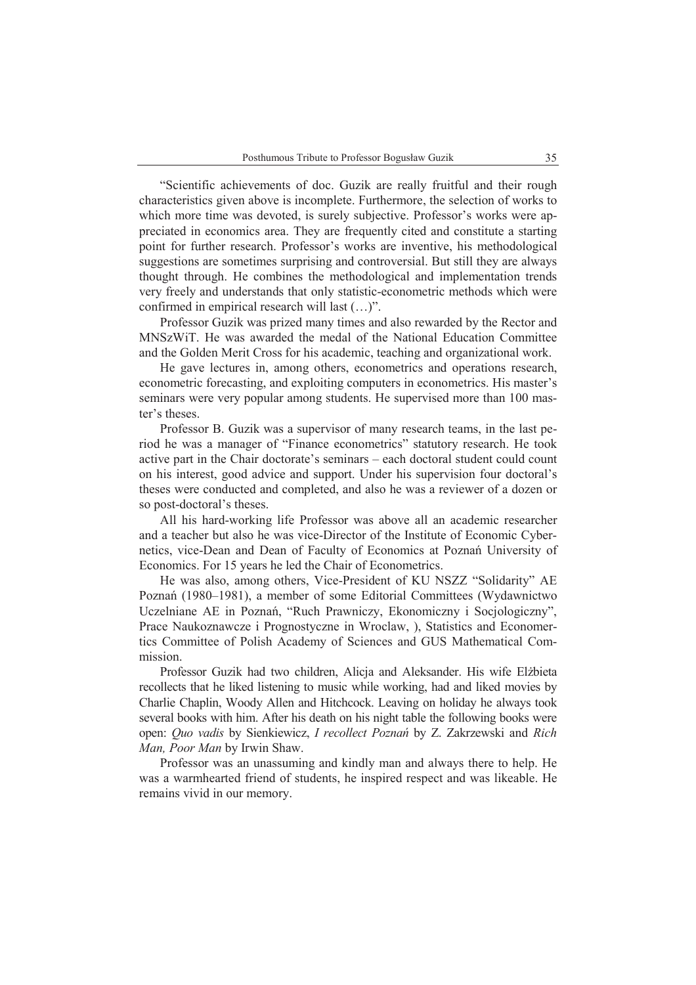"Scientific achievements of doc. Guzik are really fruitful and their rough characteristics given above is incomplete. Furthermore, the selection of works to which more time was devoted, is surely subjective. Professor's works were appreciated in economics area. They are frequently cited and constitute a starting point for further research. Professor's works are inventive, his methodological suggestions are sometimes surprising and controversial. But still they are always thought through. He combines the methodological and implementation trends very freely and understands that only statistic-econometric methods which were confirmed in empirical research will last (…)".

Professor Guzik was prized many times and also rewarded by the Rector and MNSzWiT. He was awarded the medal of the National Education Committee and the Golden Merit Cross for his academic, teaching and organizational work.

He gave lectures in, among others, econometrics and operations research, econometric forecasting, and exploiting computers in econometrics. His master's seminars were very popular among students. He supervised more than 100 master's theses.

Professor B. Guzik was a supervisor of many research teams, in the last period he was a manager of "Finance econometrics" statutory research. He took active part in the Chair doctorate's seminars – each doctoral student could count on his interest, good advice and support. Under his supervision four doctoral's theses were conducted and completed, and also he was a reviewer of a dozen or so post-doctoral's theses.

All his hard-working life Professor was above all an academic researcher and a teacher but also he was vice-Director of the Institute of Economic Cybernetics, vice-Dean and Dean of Faculty of Economics at Poznań University of Economics. For 15 years he led the Chair of Econometrics.

He was also, among others, Vice-President of KU NSZZ "Solidarity" AE Poznań (1980–1981), a member of some Editorial Committees (Wydawnictwo Uczelniane AE in Poznań, "Ruch Prawniczy, Ekonomiczny i Socjologiczny", Prace Naukoznawcze i Prognostyczne in Wroclaw, ), Statistics and Economertics Committee of Polish Academy of Sciences and GUS Mathematical Commission.

Professor Guzik had two children, Alicja and Aleksander. His wife Elżbieta recollects that he liked listening to music while working, had and liked movies by Charlie Chaplin, Woody Allen and Hitchcock. Leaving on holiday he always took several books with him. After his death on his night table the following books were open: *Quo vadis* by Sienkiewicz, *I recollect Poznań* by Z. Zakrzewski and *Rich Man, Poor Man* by Irwin Shaw.

Professor was an unassuming and kindly man and always there to help. He was a warmhearted friend of students, he inspired respect and was likeable. He remains vivid in our memory.